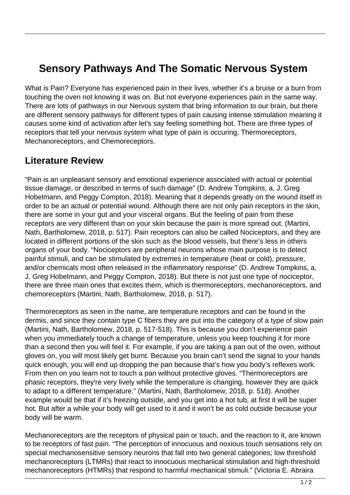## **Sensory Pathways And The Somatic Nervous System**

What is Pain? Everyone has experienced pain in their lives, whether it's a bruise or a burn from touching the oven not knowing it was on. But not everyone experiences pain in the same way. There are lots of pathways in our Nervous system that bring information to our brain, but there are different sensory pathways for different types of pain causing intense stimulation meaning it causes some kind of activation after let's say feeling something hot. There are three types of receptors that tell your nervous system what type of pain is occuring, Thermoreceptors, Mechanoreceptors, and Chemoreceptors.

## **Literature Review**

"Pain is an unpleasant sensory and emotional experience associated with actual or potential tissue damage, or described in terms of such damage" (D. Andrew Tompkins, a, J. Greg Hobelmann, and Peggy Compton, 2018). Meaning that it depends greatly on the wound itself in order to be an actual or potential wound. Although there are not only pain receptors in the skin, there are some in your gut and your visceral organs. But the feeling of pain from these receptors are very different than on your skin because the pain is more spread out. (Martini, Nath, Bartholomew, 2018, p. 517). Pain receptors can also be called Nociceptors, and they are located in different portions of the skin such as the blood vessels, but there's less in others organs of your body. "Nociceptors are peripheral neurons whose main purpose is to detect painful stimuli, and can be stimulated by extremes in temperature (heat or cold), pressure, and/or chemicals most often released in the inflammatory response" (D. Andrew Tompkins, a, J. Greg Hobelmann, and Peggy Compton, 2018). But there is not just one type of nociceptor, there are three main ones that excites them, which is thermoreceptors, mechanoreceptors, and chemoreceptors (Martini, Nath, Bartholomew, 2018, p. 517).

Thermoreceptors as seen in the name, are temperature receptors and can be found in the dermis, and since they contain type C fibers they are put into the category of a type of slow pain (Martini, Nath, Bartholomew, 2018, p. 517-518). This is because you don't experience pain when you immediately touch a change of temperature, unless you keep touching it for more than a second then you will feel it. For example, if you are taking a pan out of the oven, without gloves on, you will most likely get burnt. Because you brain can't send the signal to your hands quick enough, you will end up dropping the pan because that's how you body's reflexes work. From then on you learn not to touch a pan without protective gloves. "Thermoreceptors are phasic receptors, they're very lively while the temperature is changing, however they are quick to adapt to a different temperature." (Martini, Nath, Bartholomew, 2018, p. 518). Another example would be that if it's freezing outside, and you get into a hot tub, at first it will be super hot. But after a while your body will get used to it and it won't be as cold outside because your body will be warm.

Mechanoreceptors are the receptors of physical pain or touch, and the reaction to it, are known to be receptors of fast pain. "The perception of innocuous and noxious touch sensations rely on special mechanosensitive sensory neurons that fall into two general categories; low threshold mechanoreceptors (LTMRs) that react to innocuous mechanical stimulation and high-threshold mechanoreceptors (HTMRs) that respond to harmful mechanical stimuli." (Victoria E. Abraira